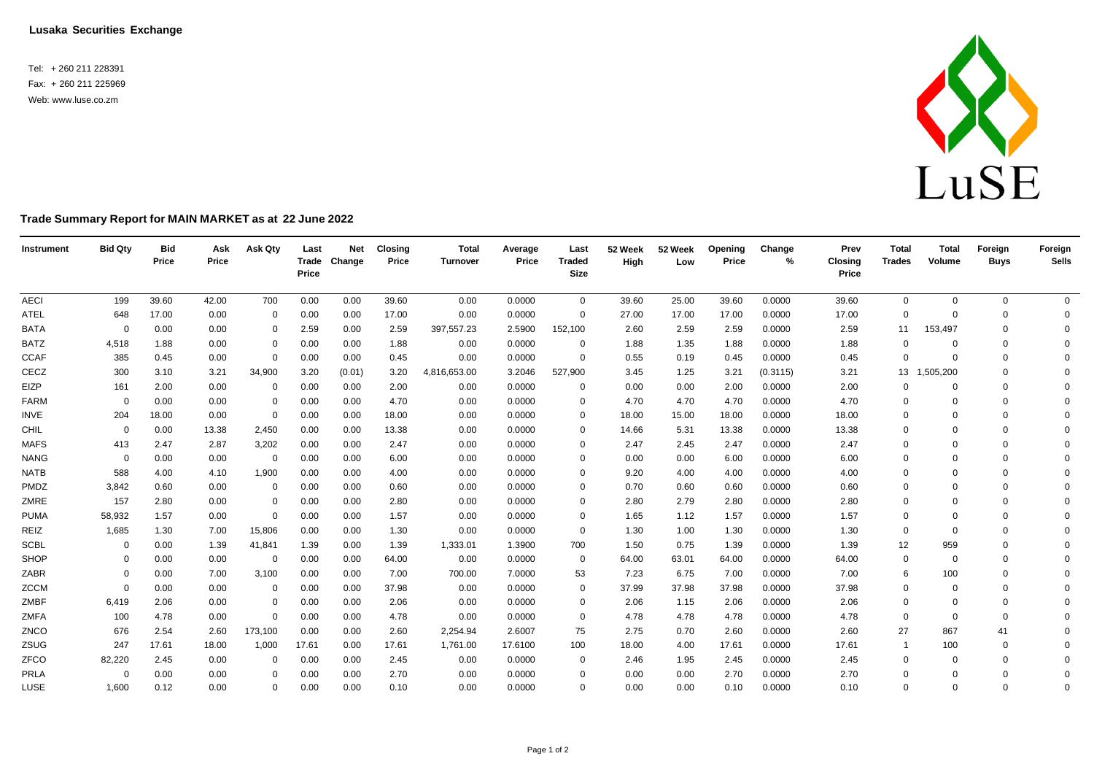**Lusaka Securities Exchange**

Tel: + 260 211 228391 Fax: + 260 211 225969 Web: [www.luse.co.zm](http://www.luse.co.zm/)



## **Trade Summary Report for MAIN MARKET as at 22 June 2022**

| Instrument  | <b>Bid Qty</b> | <b>Bid</b><br>Price | Ask<br>Price | Ask Qty     | Last<br>Price | <b>Net</b><br>Trade Change | <b>Closing</b><br>Price | <b>Total</b><br><b>Turnover</b> | Average<br>Price | Last<br><b>Traded</b><br>Size | 52 Week<br>High | 52 Week<br>Low | Opening<br>Price | Change<br>% | Prev<br><b>Closing</b><br>Price | <b>Total</b><br><b>Trades</b> | <b>Total</b><br>Volume | Foreign<br><b>Buys</b> | Foreign<br><b>Sells</b> |
|-------------|----------------|---------------------|--------------|-------------|---------------|----------------------------|-------------------------|---------------------------------|------------------|-------------------------------|-----------------|----------------|------------------|-------------|---------------------------------|-------------------------------|------------------------|------------------------|-------------------------|
| <b>AECI</b> | 199            | 39.60               | 42.00        | 700         | 0.00          | 0.00                       | 39.60                   | 0.00                            | 0.0000           | $\mathbf{0}$                  | 39.60           | 25.00          | 39.60            | 0.0000      | 39.60                           | $\mathbf 0$                   | $\mathbf 0$            | 0                      | $\overline{0}$          |
| ATEL        | 648            | 17.00               | 0.00         | $\mathbf 0$ | 0.00          | 0.00                       | 17.00                   | 0.00                            | 0.0000           | $\mathbf 0$                   | 27.00           | 17.00          | 17.00            | 0.0000      | 17.00                           | $\mathbf 0$                   |                        | $\Omega$               | 0                       |
| <b>BATA</b> | 0              | 0.00                | 0.00         | $\mathbf 0$ | 2.59          | 0.00                       | 2.59                    | 397,557.23                      | 2.5900           | 152,100                       | 2.60            | 2.59           | 2.59             | 0.0000      | 2.59                            | 11                            | 153,497                | $\Omega$               | $\Omega$                |
| <b>BATZ</b> | 4,518          | 1.88                | 0.00         | 0           | 0.00          | 0.00                       | 1.88                    | 0.00                            | 0.0000           | 0                             | 1.88            | 1.35           | 1.88             | 0.0000      | 1.88                            | 0                             |                        | $\Omega$               | $\Omega$                |
| <b>CCAF</b> | 385            | 0.45                | 0.00         | $\mathbf 0$ | 0.00          | 0.00                       | 0.45                    | 0.00                            | 0.0000           | $\mathbf 0$                   | 0.55            | 0.19           | 0.45             | 0.0000      | 0.45                            | $\mathbf 0$                   | $\Omega$               | $\Omega$               | $\Omega$                |
| CECZ        | 300            | 3.10                | 3.21         | 34,900      | 3.20          | (0.01)                     | 3.20                    | 4,816,653.00                    | 3.2046           | 527,900                       | 3.45            | 1.25           | 3.21             | (0.3115)    | 3.21                            | 13                            | ,505,200               | $\Omega$               | $\Omega$                |
| EIZP        | 161            | 2.00                | 0.00         | $\mathbf 0$ | 0.00          | 0.00                       | 2.00                    | 0.00                            | 0.0000           | $\Omega$                      | 0.00            | 0.00           | 2.00             | 0.0000      | 2.00                            | $\Omega$                      |                        | $\Omega$               | $\Omega$                |
| <b>FARM</b> | $\Omega$       | 0.00                | 0.00         | $\mathbf 0$ | 0.00          | 0.00                       | 4.70                    | 0.00                            | 0.0000           | $\Omega$                      | 4.70            | 4.70           | 4.70             | 0.0000      | 4.70                            | $\Omega$                      | $\Omega$               | $\Omega$               | $\Omega$                |
| <b>INVE</b> | 204            | 18.00               | 0.00         | $\mathbf 0$ | 0.00          | 0.00                       | 18.00                   | 0.00                            | 0.0000           | $\Omega$                      | 18.00           | 15.00          | 18.00            | 0.0000      | 18.00                           | $\mathbf 0$                   | $\Omega$               | $\mathbf 0$            | $\Omega$                |
| CHIL        | $\mathbf 0$    | 0.00                | 13.38        | 2,450       | 0.00          | 0.00                       | 13.38                   | 0.00                            | 0.0000           | $\Omega$                      | 14.66           | 5.31           | 13.38            | 0.0000      | 13.38                           | $\Omega$                      | $\Omega$               | $\Omega$               | $\Omega$                |
| <b>MAFS</b> | 413            | 2.47                | 2.87         | 3,202       | 0.00          | 0.00                       | 2.47                    | 0.00                            | 0.0000           | $\Omega$                      | 2.47            | 2.45           | 2.47             | 0.0000      | 2.47                            | $\mathbf 0$                   | $\Omega$               | $\Omega$               | $\Omega$                |
| <b>NANG</b> | $\mathbf 0$    | 0.00                | 0.00         | 0           | 0.00          | 0.00                       | 6.00                    | 0.00                            | 0.0000           | $\Omega$                      | 0.00            | 0.00           | 6.00             | 0.0000      | 6.00                            | $\Omega$                      | $\Omega$               | $\Omega$               | $\Omega$                |
| <b>NATB</b> | 588            | 4.00                | 4.10         | 1,900       | 0.00          | 0.00                       | 4.00                    | 0.00                            | 0.0000           | 0                             | 9.20            | 4.00           | 4.00             | 0.0000      | 4.00                            | $\mathbf 0$                   | $\Omega$               | $\Omega$               | $\Omega$                |
| PMDZ        | 3,842          | 0.60                | 0.00         | 0           | 0.00          | 0.00                       | 0.60                    | 0.00                            | 0.0000           | $\Omega$                      | 0.70            | 0.60           | 0.60             | 0.0000      | 0.60                            | $\mathbf 0$                   | $\Omega$               | $\Omega$               | $\Omega$                |
| ZMRE        | 157            | 2.80                | 0.00         | $\mathbf 0$ | 0.00          | 0.00                       | 2.80                    | 0.00                            | 0.0000           | $\Omega$                      | 2.80            | 2.79           | 2.80             | 0.0000      | 2.80                            | $\Omega$                      | $\Omega$               | $\Omega$               | $\Omega$                |
| <b>PUMA</b> | 58,932         | 1.57                | 0.00         | $\mathbf 0$ | 0.00          | 0.00                       | 1.57                    | 0.00                            | 0.0000           | 0                             | 1.65            | 1.12           | 1.57             | 0.0000      | 1.57                            | $\mathbf 0$                   | $\Omega$               | $\Omega$               | $\Omega$                |
| REIZ        | 1,685          | 1.30                | 7.00         | 15,806      | 0.00          | 0.00                       | 1.30                    | 0.00                            | 0.0000           | $\mathbf 0$                   | 1.30            | 1.00           | 1.30             | 0.0000      | 1.30                            | 0                             | $\Omega$               | $\Omega$               | $\Omega$                |
| <b>SCBL</b> | $\mathbf 0$    | 0.00                | 1.39         | 41,841      | 1.39          | 0.00                       | 1.39                    | 1,333.01                        | 1.3900           | 700                           | 1.50            | 0.75           | 1.39             | 0.0000      | 1.39                            | 12                            | 959                    | $\Omega$               | $\Omega$                |
| SHOP        | $\Omega$       | 0.00                | 0.00         | $\mathbf 0$ | 0.00          | 0.00                       | 64.00                   | 0.00                            | 0.0000           | $\mathbf 0$                   | 64.00           | 63.01          | 64.00            | 0.0000      | 64.00                           | 0                             | $\Omega$               | $\Omega$               | 0                       |
| ZABR        | $\Omega$       | 0.00                | 7.00         | 3,100       | 0.00          | 0.00                       | 7.00                    | 700.00                          | 7.0000           | 53                            | 7.23            | 6.75           | 7.00             | 0.0000      | 7.00                            | 6                             | 100                    | $\Omega$               | $\Omega$                |
| ZCCM        | $\Omega$       | 0.00                | 0.00         | $\mathbf 0$ | 0.00          | 0.00                       | 37.98                   | 0.00                            | 0.0000           | 0                             | 37.99           | 37.98          | 37.98            | 0.0000      | 37.98                           | $\mathbf 0$                   | $\Omega$               | $\Omega$               | $\Omega$                |
| ZMBF        | 6,419          | 2.06                | 0.00         | $\mathbf 0$ | 0.00          | 0.00                       | 2.06                    | 0.00                            | 0.0000           | 0                             | 2.06            | 1.15           | 2.06             | 0.0000      | 2.06                            | $\mathbf 0$                   | $\Omega$               | $\mathbf 0$            | $\Omega$                |
| <b>ZMFA</b> | 100            | 4.78                | 0.00         | $\mathbf 0$ | 0.00          | 0.00                       | 4.78                    | 0.00                            | 0.0000           | 0                             | 4.78            | 4.78           | 4.78             | 0.0000      | 4.78                            | 0                             | $\Omega$               | $\Omega$               | $\Omega$                |
| ZNCO        | 676            | 2.54                | 2.60         | 173,100     | 0.00          | 0.00                       | 2.60                    | 2,254.94                        | 2.6007           | 75                            | 2.75            | 0.70           | 2.60             | 0.0000      | 2.60                            | 27                            | 867                    | 41                     | $\Omega$                |
| ZSUG        | 247            | 17.61               | 18.00        | 1,000       | 17.61         | 0.00                       | 17.61                   | 1,761.00                        | 17.6100          | 100                           | 18.00           | 4.00           | 17.61            | 0.0000      | 17.61                           | $\overline{1}$                | 100                    | 0                      | $\Omega$                |
| ZFCO        | 82,220         | 2.45                | 0.00         | $\mathbf 0$ | 0.00          | 0.00                       | 2.45                    | 0.00                            | 0.0000           | 0                             | 2.46            | 1.95           | 2.45             | 0.0000      | 2.45                            | 0                             | $\Omega$               | $\Omega$               | $\Omega$                |
| PRLA        | $\overline{0}$ | 0.00                | 0.00         | $\Omega$    | 0.00          | 0.00                       | 2.70                    | 0.00                            | 0.0000           | $\Omega$                      | 0.00            | 0.00           | 2.70             | 0.0000      | 2.70                            | $\Omega$                      | $\Omega$               | $\Omega$               | $\mathbf 0$             |
| LUSE        | 1,600          | 0.12                | 0.00         | $\Omega$    | 0.00          | 0.00                       | 0.10                    | 0.00                            | 0.0000           | $\Omega$                      | 0.00            | 0.00           | 0.10             | 0.0000      | 0.10                            | $\mathbf 0$                   | $\Omega$               | $\Omega$               | $\Omega$                |